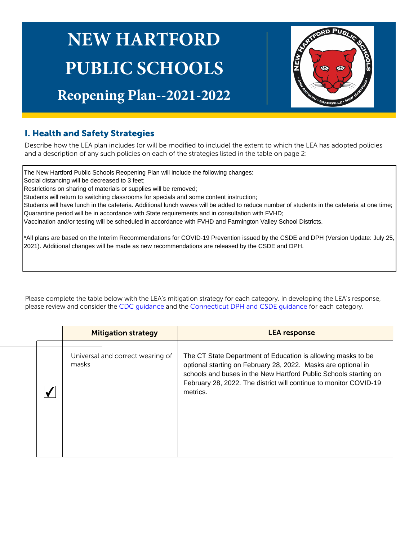# **NEW HARTFORD PUBLIC SCHOOLS**

# **Reopening Plan--2021-2022**



## I. Health and Safety Strategies

Describe how the LEA plan includes (or will be modified to include) the extent to which the LEA has adopted policies and a description of any such policies on each of the strategies listed in the table on page 2:

The New Hartford Public Schools Reopening Plan will include the following changes:

Social distancing will be decreased to 3 feet;

Restrictions on sharing of materials or supplies will be removed;

Students will return to switching classrooms for specials and some content instruction;

Students will have lunch in the cafeteria. Additional lunch waves will be added to reduce number of students in the cafeteria at one time; Quarantine period will be in accordance with State requirements and in consultation with FVHD;

Vaccination and/or testing will be scheduled in accordance with FVHD and Farmington Valley School Districts.

\*All plans are based on the Interim Recommendations for COVID-19 Prevention issued by the CSDE and DPH (Version Update: July 25, 2021). Additional changes will be made as new recommendations are released by the CSDE and DPH.

Please complete the table below with the LEA's mitigation strategy for each category. In developing the LEA's response, please review and consider the CDC guidance and the Connecticut DPH and CSDE guidance for each category.

| <b>Mitigation strategy</b>                | <b>LEA</b> response                                                                                                                                                                                                                                                                |
|-------------------------------------------|------------------------------------------------------------------------------------------------------------------------------------------------------------------------------------------------------------------------------------------------------------------------------------|
| Universal and correct wearing of<br>masks | The CT State Department of Education is allowing masks to be<br>optional starting on February 28, 2022. Masks are optional in<br>schools and buses in the New Hartford Public Schools starting on<br>February 28, 2022. The district will continue to monitor COVID-19<br>metrics. |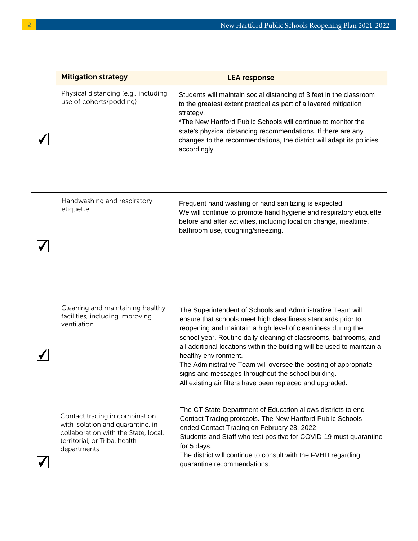| <b>Mitigation strategy</b>                                                                                                                                  | <b>LEA</b> response                                                                                                                                                                                                                                                                                                                                                                                                                                                                                                                                       |
|-------------------------------------------------------------------------------------------------------------------------------------------------------------|-----------------------------------------------------------------------------------------------------------------------------------------------------------------------------------------------------------------------------------------------------------------------------------------------------------------------------------------------------------------------------------------------------------------------------------------------------------------------------------------------------------------------------------------------------------|
| Physical distancing (e.g., including<br>use of cohorts/podding)                                                                                             | Students will maintain social distancing of 3 feet in the classroom<br>to the greatest extent practical as part of a layered mitigation<br>strategy.<br>*The New Hartford Public Schools will continue to monitor the<br>state's physical distancing recommendations. If there are any<br>changes to the recommendations, the district will adapt its policies<br>accordingly.                                                                                                                                                                            |
| Handwashing and respiratory<br>etiquette                                                                                                                    | Frequent hand washing or hand sanitizing is expected.<br>We will continue to promote hand hygiene and respiratory etiquette<br>before and after activities, including location change, mealtime,<br>bathroom use, coughing/sneezing.                                                                                                                                                                                                                                                                                                                      |
| Cleaning and maintaining healthy<br>facilities, including improving<br>ventilation                                                                          | The Superintendent of Schools and Administrative Team will<br>ensure that schools meet high cleanliness standards prior to<br>reopening and maintain a high level of cleanliness during the<br>school year. Routine daily cleaning of classrooms, bathrooms, and<br>all additional locations within the building will be used to maintain a<br>healthy environment.<br>The Administrative Team will oversee the posting of appropriate<br>signs and messages throughout the school building.<br>All existing air filters have been replaced and upgraded. |
| Contact tracing in combination<br>with isolation and quarantine, in<br>collaboration with the State, local,<br>territorial, or Tribal health<br>departments | The CT State Department of Education allows districts to end<br>Contact Tracing protocols. The New Hartford Public Schools<br>ended Contact Tracing on February 28, 2022.<br>Students and Staff who test positive for COVID-19 must quarantine<br>for 5 days.<br>The district will continue to consult with the FVHD regarding<br>quarantine recommendations.                                                                                                                                                                                             |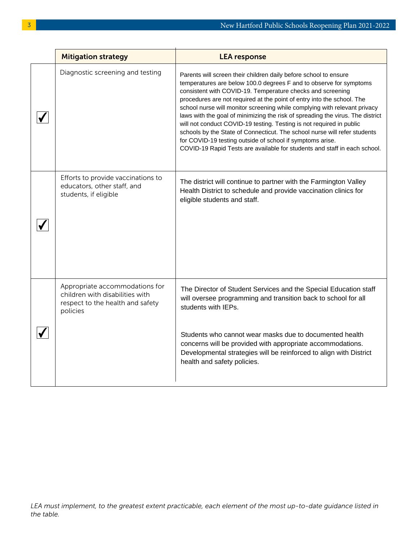| <b>Mitigation strategy</b>                                                                                        | <b>LEA response</b>                                                                                                                                                                                                                                                                                                                                                                                                                                                                                                                                                                                                                                                                                                                          |
|-------------------------------------------------------------------------------------------------------------------|----------------------------------------------------------------------------------------------------------------------------------------------------------------------------------------------------------------------------------------------------------------------------------------------------------------------------------------------------------------------------------------------------------------------------------------------------------------------------------------------------------------------------------------------------------------------------------------------------------------------------------------------------------------------------------------------------------------------------------------------|
| Diagnostic screening and testing                                                                                  | Parents will screen their children daily before school to ensure<br>temperatures are below 100.0 degrees F and to observe for symptoms<br>consistent with COVID-19. Temperature checks and screening<br>procedures are not required at the point of entry into the school. The<br>school nurse will monitor screening while complying with relevant privacy<br>laws with the goal of minimizing the risk of spreading the virus. The district<br>will not conduct COVID-19 testing. Testing is not required in public<br>schools by the State of Connecticut. The school nurse will refer students<br>for COVID-19 testing outside of school if symptoms arise.<br>COVID-19 Rapid Tests are available for students and staff in each school. |
| Efforts to provide vaccinations to<br>educators, other staff, and<br>students, if eligible                        | The district will continue to partner with the Farmington Valley<br>Health District to schedule and provide vaccination clinics for<br>eligible students and staff.                                                                                                                                                                                                                                                                                                                                                                                                                                                                                                                                                                          |
| Appropriate accommodations for<br>children with disabilities with<br>respect to the health and safety<br>policies | The Director of Student Services and the Special Education staff<br>will oversee programming and transition back to school for all<br>students with IEPs.<br>Students who cannot wear masks due to documented health<br>concerns will be provided with appropriate accommodations.<br>Developmental strategies will be reinforced to align with District<br>health and safety policies.                                                                                                                                                                                                                                                                                                                                                      |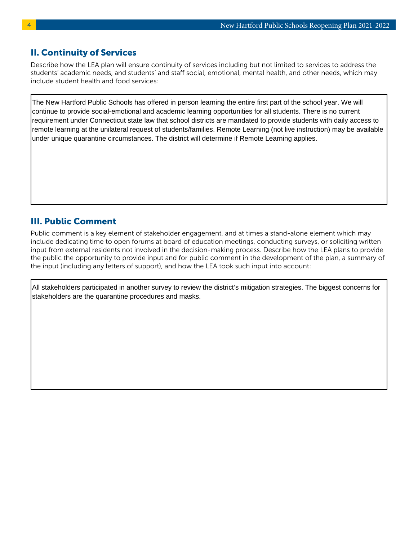#### II. Continuity of Services

Describe how the LEA plan will ensure continuity of services including but not limited to services to address the students' academic needs, and students' and staff social, emotional, mental health, and other needs, which may include student health and food services:

The New Hartford Public Schools has offered in person learning the entire first part of the school year. We will continue to provide social-emotional and academic learning opportunities for all students. There is no current requirement under Connecticut state law that school districts are mandated to provide students with daily access to remote learning at the unilateral request of students/families. Remote Learning (not live instruction) may be available under unique quarantine circumstances. The district will determine if Remote Learning applies.

### III. Public Comment

Public comment is a key element of stakeholder engagement, and at times a stand-alone element which may include dedicating time to open forums at board of education meetings, conducting surveys, or soliciting written input from external residents not involved in the decision-making process. Describe how the LEA plans to provide the public the opportunity to provide input and for public comment in the development of the plan, a summary of the input (including any letters of support), and how the LEA took such input into account:

All stakeholders participated in another survey to review the district's mitigation strategies. The biggest concerns for stakeholders are the quarantine procedures and masks.